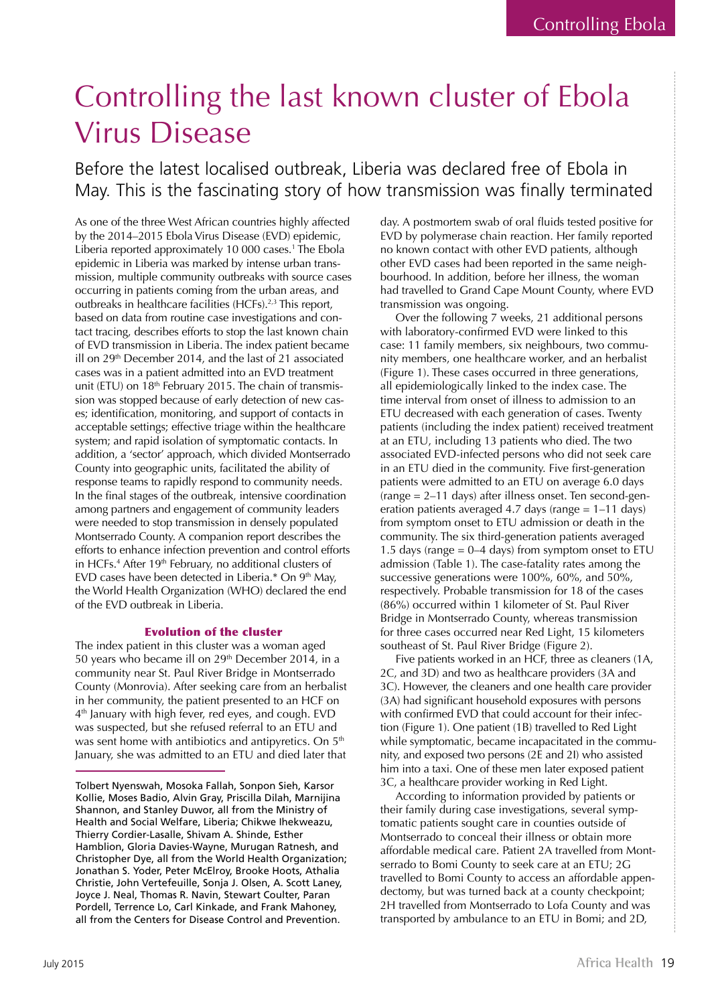# Controlling the last known cluster of Ebola Virus Disease

Before the latest localised outbreak, Liberia was declared free of Ebola in May. This is the fascinating story of how transmission was finally terminated

As one of the three West African countries highly affected by the 2014–2015 Ebola Virus Disease (EVD) epidemic, Liberia reported approximately 10 000 cases.1 The Ebola epidemic in Liberia was marked by intense urban transmission, multiple community outbreaks with source cases occurring in patients coming from the urban areas, and outbreaks in healthcare facilities (HCFs).<sup>2,3</sup> This report, based on data from routine case investigations and contact tracing, describes efforts to stop the last known chain of EVD transmission in Liberia. The index patient became ill on 29<sup>th</sup> December 2014, and the last of 21 associated cases was in a patient admitted into an EVD treatment unit (ETU) on  $18<sup>th</sup>$  February 2015. The chain of transmission was stopped because of early detection of new cases; identification, monitoring, and support of contacts in acceptable settings; effective triage within the healthcare system; and rapid isolation of symptomatic contacts. In addition, a 'sector' approach, which divided Montserrado County into geographic units, facilitated the ability of response teams to rapidly respond to community needs. In the final stages of the outbreak, intensive coordination among partners and engagement of community leaders were needed to stop transmission in densely populated Montserrado County. A companion report describes the efforts to enhance infection prevention and control efforts in HCFs.4 After 19th February, no additional clusters of EVD cases have been detected in Liberia.\* On 9<sup>th</sup> May, the World Health Organization (WHO) declared the end of the EVD outbreak in Liberia.

## Evolution of the cluster

The index patient in this cluster was a woman aged 50 years who became ill on 29<sup>th</sup> December 2014, in a community near St. Paul River Bridge in Montserrado County (Monrovia). After seeking care from an herbalist in her community, the patient presented to an HCF on 4<sup>th</sup> January with high fever, red eyes, and cough. EVD was suspected, but she refused referral to an ETU and was sent home with antibiotics and antipyretics. On 5<sup>th</sup> January, she was admitted to an ETU and died later that

day. A postmortem swab of oral fluids tested positive for EVD by polymerase chain reaction. Her family reported no known contact with other EVD patients, although other EVD cases had been reported in the same neighbourhood. In addition, before her illness, the woman had travelled to Grand Cape Mount County, where EVD transmission was ongoing.

Over the following 7 weeks, 21 additional persons with laboratory-confirmed EVD were linked to this case: 11 family members, six neighbours, two community members, one healthcare worker, and an herbalist (Figure 1). These cases occurred in three generations, all epidemiologically linked to the index case. The time interval from onset of illness to admission to an ETU decreased with each generation of cases. Twenty patients (including the index patient) received treatment at an ETU, including 13 patients who died. The two associated EVD-infected persons who did not seek care in an ETU died in the community. Five first-generation patients were admitted to an ETU on average 6.0 days (range = 2–11 days) after illness onset. Ten second-generation patients averaged 4.7 days (range = 1–11 days) from symptom onset to ETU admission or death in the community. The six third-generation patients averaged 1.5 days (range  $= 0-4$  days) from symptom onset to ETU admission (Table 1). The case-fatality rates among the successive generations were 100%, 60%, and 50%, respectively. Probable transmission for 18 of the cases (86%) occurred within 1 kilometer of St. Paul River Bridge in Montserrado County, whereas transmission for three cases occurred near Red Light, 15 kilometers southeast of St. Paul River Bridge (Figure 2).

Five patients worked in an HCF, three as cleaners (1A, 2C, and 3D) and two as healthcare providers (3A and 3C). However, the cleaners and one health care provider (3A) had significant household exposures with persons with confirmed EVD that could account for their infection (Figure 1). One patient (1B) travelled to Red Light while symptomatic, became incapacitated in the community, and exposed two persons (2E and 2I) who assisted him into a taxi. One of these men later exposed patient 3C, a healthcare provider working in Red Light.

According to information provided by patients or their family during case investigations, several symptomatic patients sought care in counties outside of Montserrado to conceal their illness or obtain more affordable medical care. Patient 2A travelled from Montserrado to Bomi County to seek care at an ETU; 2G travelled to Bomi County to access an affordable appendectomy, but was turned back at a county checkpoint; 2H travelled from Montserrado to Lofa County and was transported by ambulance to an ETU in Bomi; and 2D,

Tolbert Nyenswah, Mosoka Fallah, Sonpon Sieh, Karsor Kollie, Moses Badio, Alvin Gray, Priscilla Dilah, Marnijina Shannon, and Stanley Duwor, all from the Ministry of Health and Social Welfare, Liberia; Chikwe Ihekweazu, Thierry Cordier-Lasalle, Shivam A. Shinde, Esther Hamblion, Gloria Davies-Wayne, Murugan Ratnesh, and Christopher Dye, all from the World Health Organization; Jonathan S. Yoder, Peter McElroy, Brooke Hoots, Athalia Christie, John Vertefeuille, Sonja J. Olsen, A. Scott Laney, Joyce J. Neal, Thomas R. Navin, Stewart Coulter, Paran Pordell, Terrence Lo, Carl Kinkade, and Frank Mahoney, all from the Centers for Disease Control and Prevention.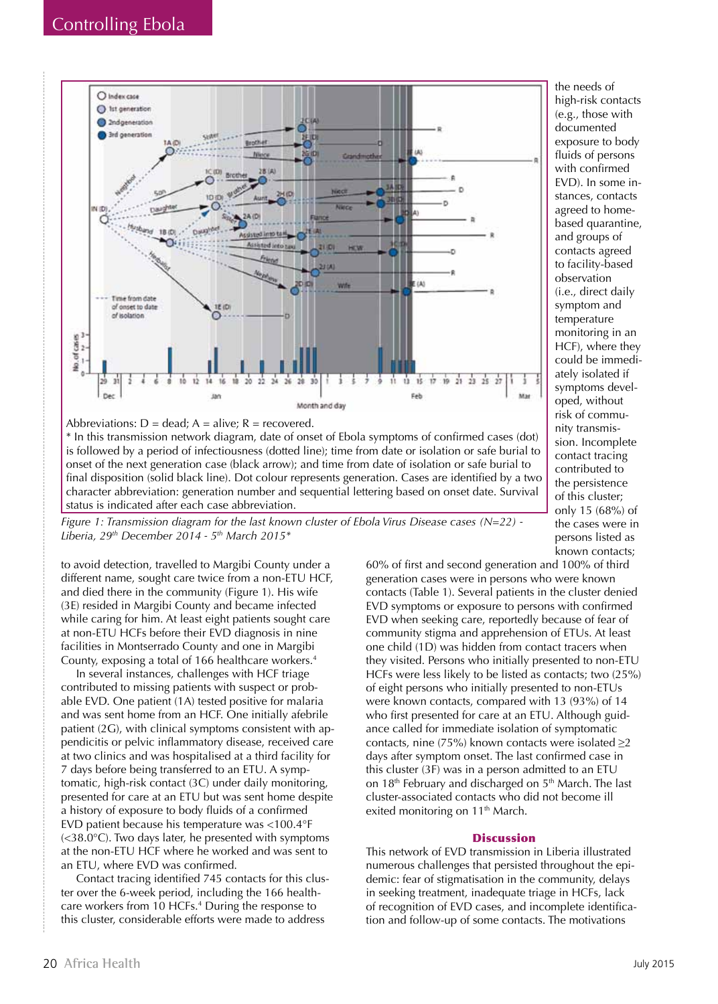

Abbreviations:  $D = dead$ ;  $A = alive$ ;  $R = recovered$ .

\* In this transmission network diagram, date of onset of Ebola symptoms of confirmed cases (dot) is followed by a period of infectiousness (dotted line); time from date or isolation or safe burial to onset of the next generation case (black arrow); and time from date of isolation or safe burial to final disposition (solid black line). Dot colour represents generation. Cases are identified by a two character abbreviation: generation number and sequential lettering based on onset date. Survival status is indicated after each case abbreviation.

*Figure 1: Transmission diagram for the last known cluster of Ebola Virus Disease cases (N=22) - Liberia, 29th December 2014 - 5th March 2015\**

to avoid detection, travelled to Margibi County under a different name, sought care twice from a non-ETU HCF, and died there in the community (Figure 1). His wife (3E) resided in Margibi County and became infected while caring for him. At least eight patients sought care at non-ETU HCFs before their EVD diagnosis in nine facilities in Montserrado County and one in Margibi County, exposing a total of 166 healthcare workers.4

In several instances, challenges with HCF triage contributed to missing patients with suspect or probable EVD. One patient (1A) tested positive for malaria and was sent home from an HCF. One initially afebrile patient (2G), with clinical symptoms consistent with appendicitis or pelvic inflammatory disease, received care at two clinics and was hospitalised at a third facility for 7 days before being transferred to an ETU. A symptomatic, high-risk contact (3C) under daily monitoring, presented for care at an ETU but was sent home despite a history of exposure to body fluids of a confirmed EVD patient because his temperature was <100.4°F (<38.0°C). Two days later, he presented with symptoms at the non-ETU HCF where he worked and was sent to an ETU, where EVD was confirmed.

Contact tracing identified 745 contacts for this cluster over the 6-week period, including the 166 healthcare workers from 10 HCFs.4 During the response to this cluster, considerable efforts were made to address

known contacts; 60% of first and second generation and 100% of third generation cases were in persons who were known contacts (Table 1). Several patients in the cluster denied EVD symptoms or exposure to persons with confirmed EVD when seeking care, reportedly because of fear of community stigma and apprehension of ETUs. At least one child (1D) was hidden from contact tracers when they visited. Persons who initially presented to non-ETU HCFs were less likely to be listed as contacts; two (25%) of eight persons who initially presented to non-ETUs were known contacts, compared with 13 (93%) of 14 who first presented for care at an ETU. Although guidance called for immediate isolation of symptomatic contacts, nine (75%) known contacts were isolated  $\geq$ 2 days after symptom onset. The last confirmed case in this cluster (3F) was in a person admitted to an ETU on 18<sup>th</sup> February and discharged on 5<sup>th</sup> March. The last cluster-associated contacts who did not become ill exited monitoring on 11<sup>th</sup> March.

the needs of high-risk contacts (e.g., those with documented exposure to body fluids of persons with confirmed EVD). In some instances, contacts agreed to homebased quarantine, and groups of contacts agreed to facility-based observation (i.e., direct daily symptom and temperature monitoring in an HCF), where they could be immediately isolated if symptoms developed, without risk of community transmission. Incomplete contact tracing contributed to the persistence of this cluster; only 15 (68%) of the cases were in persons listed as

### **Discussion**

This network of EVD transmission in Liberia illustrated numerous challenges that persisted throughout the epidemic: fear of stigmatisation in the community, delays in seeking treatment, inadequate triage in HCFs, lack of recognition of EVD cases, and incomplete identification and follow-up of some contacts. The motivations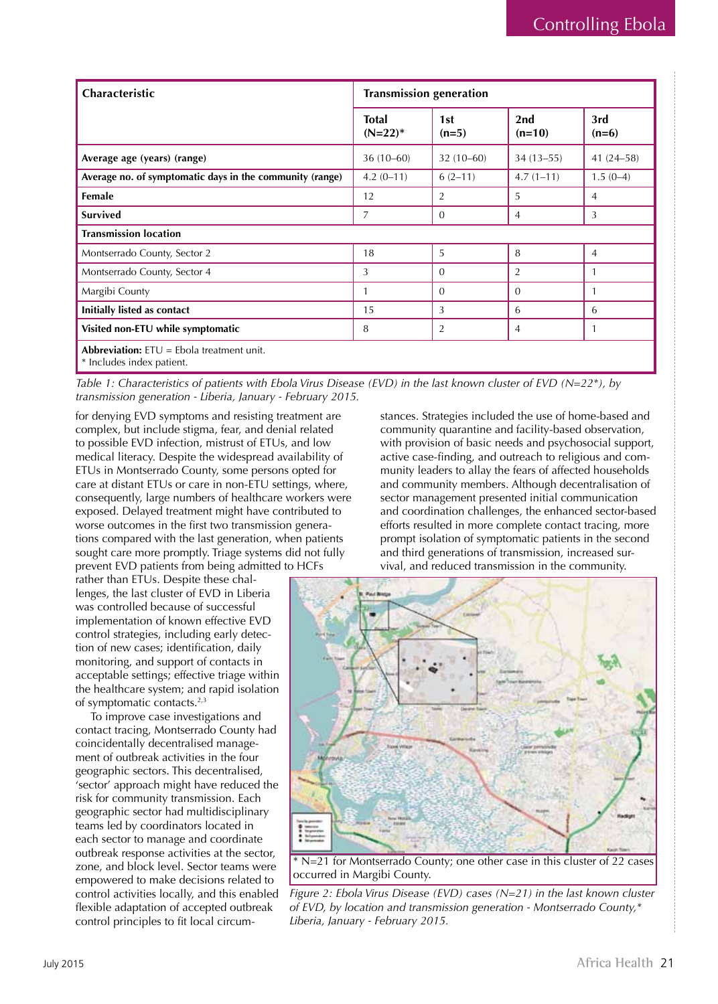| Characteristic                                                                  | <b>Transmission generation</b> |                |                 |                |
|---------------------------------------------------------------------------------|--------------------------------|----------------|-----------------|----------------|
|                                                                                 | <b>Total</b><br>$(N=22)^*$     | 1st<br>$(n=5)$ | 2nd<br>$(n=10)$ | 3rd<br>$(n=6)$ |
| Average age (years) (range)                                                     | $36(10-60)$                    | $32(10-60)$    | $34(13 - 55)$   | 41 $(24-58)$   |
| Average no. of symptomatic days in the community (range)                        | $4.2(0-11)$                    | $6(2-11)$      | $4.7(1-11)$     | $1.5(0-4)$     |
| Female                                                                          | 12                             | 2              | 5               | 4              |
| <b>Survived</b>                                                                 | $\overline{7}$                 | $\Omega$       | 4               | 3              |
| <b>Transmission location</b>                                                    |                                |                |                 |                |
| Montserrado County, Sector 2                                                    | 18                             | 5              | 8               | $\overline{4}$ |
| Montserrado County, Sector 4                                                    | 3                              | $\Omega$       | 2               |                |
| Margibi County                                                                  |                                | $\Omega$       | 0               |                |
| Initially listed as contact                                                     | 15                             | 3              | 6               | 6              |
| Visited non-ETU while symptomatic                                               | 8                              | $\overline{2}$ | 4               |                |
| <b>Abbreviation:</b> $ETU =$ Ebola treatment unit.<br>* Includes index patient. |                                |                |                 |                |

*Table 1: Characteristics of patients with Ebola Virus Disease (EVD) in the last known cluster of EVD (N=22\*), by transmission generation - Liberia, January - February 2015.*

for denying EVD symptoms and resisting treatment are complex, but include stigma, fear, and denial related to possible EVD infection, mistrust of ETUs, and low medical literacy. Despite the widespread availability of ETUs in Montserrado County, some persons opted for care at distant ETUs or care in non-ETU settings, where, consequently, large numbers of healthcare workers were exposed. Delayed treatment might have contributed to worse outcomes in the first two transmission generations compared with the last generation, when patients sought care more promptly. Triage systems did not fully prevent EVD patients from being admitted to HCFs

rather than ETUs. Despite these challenges, the last cluster of EVD in Liberia was controlled because of successful implementation of known effective EVD control strategies, including early detection of new cases; identification, daily monitoring, and support of contacts in acceptable settings; effective triage within the healthcare system; and rapid isolation of symptomatic contacts.2,3

To improve case investigations and contact tracing, Montserrado County had coincidentally decentralised management of outbreak activities in the four geographic sectors. This decentralised, 'sector' approach might have reduced the risk for community transmission. Each geographic sector had multidisciplinary teams led by coordinators located in each sector to manage and coordinate outbreak response activities at the sector, zone, and block level. Sector teams were empowered to make decisions related to control activities locally, and this enabled flexible adaptation of accepted outbreak control principles to fit local circumstances. Strategies included the use of home-based and community quarantine and facility-based observation, with provision of basic needs and psychosocial support, active case-finding, and outreach to religious and community leaders to allay the fears of affected households and community members. Although decentralisation of sector management presented initial communication and coordination challenges, the enhanced sector-based efforts resulted in more complete contact tracing, more prompt isolation of symptomatic patients in the second and third generations of transmission, increased survival, and reduced transmission in the community.



occurred in Margibi County. *Figure 2: Ebola Virus Disease (EVD) cases (N=21) in the last known cluster of EVD, by location and transmission generation - Montserrado County,\** 

*Liberia, January - February 2015.*